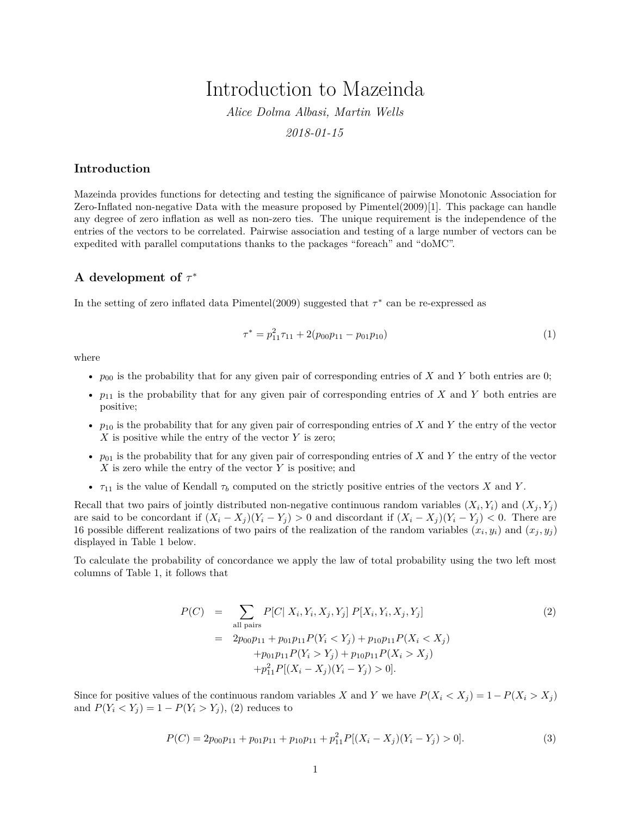# Introduction to Mazeinda

*Alice Dolma Albasi, Martin Wells*

*2018-01-15*

### **Introduction**

Mazeinda provides functions for detecting and testing the significance of pairwise Monotonic Association for Zero-Inflated non-negative Data with the measure proposed by Pimentel(2009)[1]. This package can handle any degree of zero inflation as well as non-zero ties. The unique requirement is the independence of the entries of the vectors to be correlated. Pairwise association and testing of a large number of vectors can be expedited with parallel computations thanks to the packages "foreach" and "doMC".

## **A development of** *τ* ∗

In the setting of zero inflated data Pimentel(2009) suggested that *τ* ∗ can be re-expressed as

$$
\tau^* = p_{11}^2 \tau_{11} + 2(p_{00} p_{11} - p_{01} p_{10}) \tag{1}
$$

where

- *p*<sub>00</sub> is the probability that for any given pair of corresponding entries of *X* and *Y* both entries are 0;
- *p*<sup>11</sup> is the probability that for any given pair of corresponding entries of *X* and *Y* both entries are positive;
- $p_{10}$  is the probability that for any given pair of corresponding entries of *X* and *Y* the entry of the vector *X* is positive while the entry of the vector *Y* is zero;
- $p_{01}$  is the probability that for any given pair of corresponding entries of *X* and *Y* the entry of the vector *X* is zero while the entry of the vector *Y* is positive; and
- $\tau_{11}$  is the value of Kendall  $\tau_b$  computed on the strictly positive entries of the vectors *X* and *Y*.

Recall that two pairs of jointly distributed non-negative continuous random variables  $(X_i, Y_i)$  and  $(X_j, Y_j)$ are said to be concordant if  $(X_i - X_j)(Y_i - Y_j) > 0$  and discordant if  $(X_i - X_j)(Y_i - Y_j) < 0$ . There are 16 possible different realizations of two pairs of the realization of the random variables  $(x_i, y_i)$  and  $(x_j, y_j)$ displayed in Table [1](#page-1-0) below.

To calculate the probability of concordance we apply the law of total probability using the two left most columns of Table [1,](#page-1-0) it follows that

<span id="page-0-0"></span>
$$
P(C) = \sum_{\text{all pairs}} P[C| X_i, Y_i, X_j, Y_j] P[X_i, Y_i, X_j, Y_j]
$$
\n
$$
= 2p_{00}p_{11} + p_{01}p_{11}P(Y_i < Y_j) + p_{10}p_{11}P(X_i < X_j)
$$
\n
$$
+ p_{01}p_{11}P(Y_i > Y_j) + p_{10}p_{11}P(X_i > X_j)
$$
\n
$$
+ p_{11}^2P[(X_i - X_j)(Y_i - Y_j) > 0].
$$
\n
$$
(2)
$$

Since for positive values of the continuous random variables *X* and *Y* we have  $P(X_i \leq X_j) = 1 - P(X_i \geq X_j)$ and  $P(Y_i \le Y_j) = 1 - P(Y_i > Y_j)$ , [\(2\)](#page-0-0) reduces to

<span id="page-0-1"></span>
$$
P(C) = 2p_{00}p_{11} + p_{01}p_{11} + p_{10}p_{11} + p_{11}^2 P[(X_i - X_j)(Y_i - Y_j) > 0].
$$
\n(3)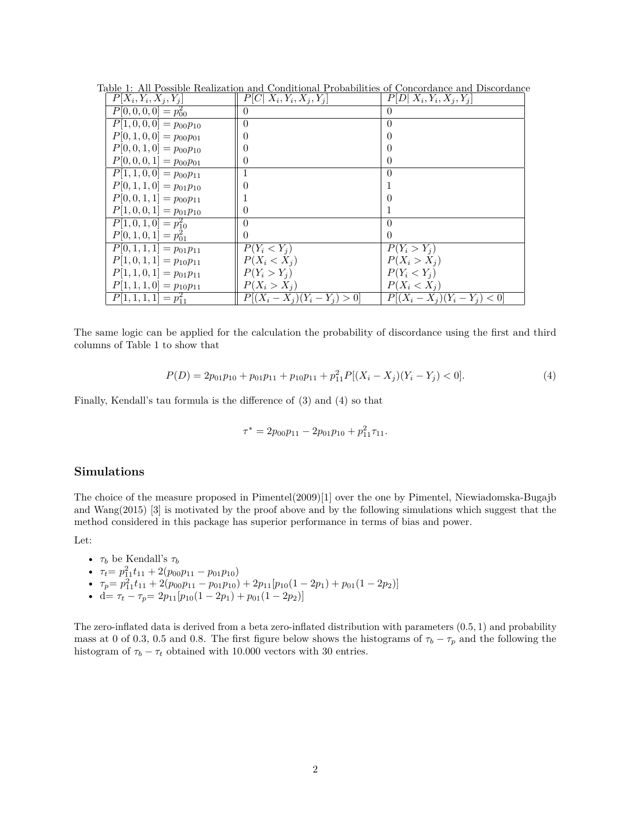<span id="page-1-0"></span>

| $P[X_i, Y_i, X_j, Y_j]$                | $P[C X_i,Y_i,X_j,Y_j]$          | $P[D X_i,Y_i,X_j,Y_j]$          |
|----------------------------------------|---------------------------------|---------------------------------|
| $P[0,0,0,0] = p_{00}^2$                | $\theta$                        | $\left( \right)$                |
| $\overline{P[1,0,0,0]} = p_{00}p_{10}$ | $\theta$                        | $\theta$                        |
| $P[0, 1, 0, 0] = p_{00}p_{01}$         |                                 |                                 |
| $P[0,0,1,0] = p_{00}p_{10}$            |                                 |                                 |
| $P[0,0,0,1] = p_{00}p_{01}$            | 0                               |                                 |
| $\overline{P[1,1,0,0]} = p_{00}p_{11}$ |                                 | $\Omega$                        |
| $P[0,1,1,0] = p_{01}p_{10}$            |                                 |                                 |
| $P[0,0,1,1] = p_{00}p_{11}$            |                                 |                                 |
| $P[1,0,0,1] = p_{01}p_{10}$            |                                 |                                 |
| $P[1,0,1,0] = p_{10}^2$                | $\left( \right)$                | $\theta$                        |
| $P[0,1,0,1] = p_{01}^2$                | $\theta$                        | $\theta$                        |
| $\overline{P[0,1,1,1]} = p_{01}p_{11}$ | $P(Y_i < Y_i)$                  | $P(Y_i > Y_j)$                  |
| $P[1,0,1,1] = p_{10}p_{11}$            | $P(X_i < X_j)$                  | $P(X_i > X_j)$                  |
| $P[1, 1, 0, 1] = p_{01}p_{11}$         | $P(Y_i > Y_i)$                  | $P(Y_i < Y_i)$                  |
| $P[1, 1, 1, 0] = p_{10}p_{11}$         | $P(X_i > X_j)$                  | $P(X_i < X_j)$                  |
| $P[1,1,1,1]=p_{11}^2$                  | $P[(X_i - X_j)(Y_i - Y_j) > 0]$ | $P[(X_i - X_j)(Y_i - Y_j) < 0]$ |

Table 1: All Possible Realization and Conditional Probabilities of Concordance and Discordance

The same logic can be applied for the calculation the probability of discordance using the first and third columns of Table [1](#page-1-0) to show that

<span id="page-1-1"></span>
$$
P(D) = 2p_{01}p_{10} + p_{01}p_{11} + p_{10}p_{11} + p_{11}^2 P[(X_i - X_j)(Y_i - Y_j) < 0].\tag{4}
$$

Finally, Kendall's tau formula is the difference of [\(3\)](#page-0-1) and [\(4\)](#page-1-1) so that

$$
\tau^* = 2p_{00}p_{11} - 2p_{01}p_{10} + p_{11}^2 \tau_{11}.
$$

#### **Simulations**

The choice of the measure proposed in Pimentel(2009)[1] over the one by Pimentel, Niewiadomska-Bugajb and Wang(2015) [3] is motivated by the proof above and by the following simulations which suggest that the method considered in this package has superior performance in terms of bias and power.

Let:

- $\tau_b$  be Kendall's  $\tau_b$
- $\tau_t = p_{11}^2 t_{11} + 2(p_{00}p_{11} p_{01}p_{10})$
- $\tau_p = p_{11}^2 t_{11} + 2(p_{00}p_{11} p_{01}p_{10}) + 2p_{11}[p_{10}(1 2p_1) + p_{01}(1 2p_2)]$
- d=  $\tau_t \tau_p = 2p_{11}[p_{10}(1 2p_1) + p_{01}(1 2p_2)]$

The zero-inflated data is derived from a beta zero-inflated distribution with parameters (0*.*5*,* 1) and probability mass at 0 of 0.3, 0.5 and 0.8. The first figure below shows the histograms of  $\tau_b - \tau_p$  and the following the histogram of  $\tau_b - \tau_t$  obtained with 10.000 vectors with 30 entries.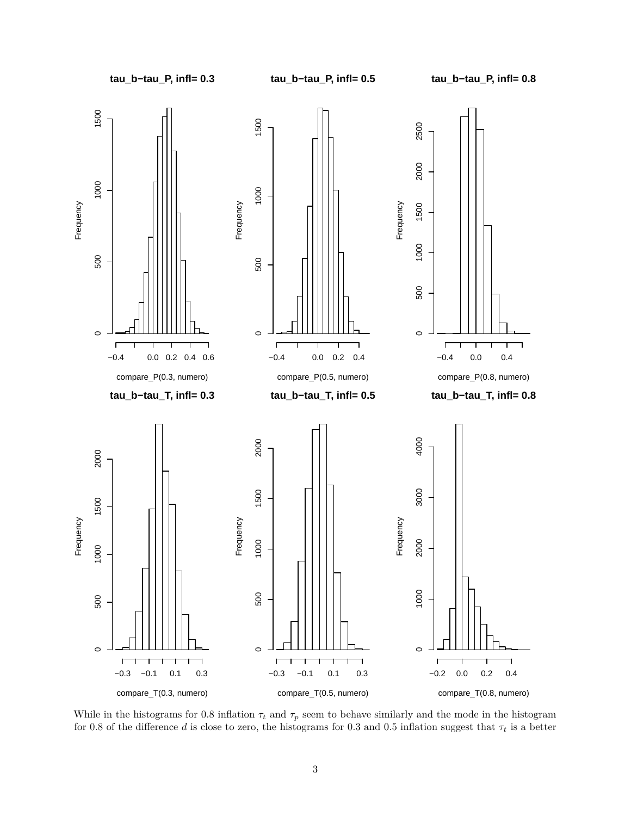

While in the histograms for 0.8 inflation  $\tau_t$  and  $\tau_p$  seem to behave similarly and the mode in the histogram for 0.8 of the difference *d* is close to zero, the histograms for 0.3 and 0.5 inflation suggest that  $\tau_t$  is a better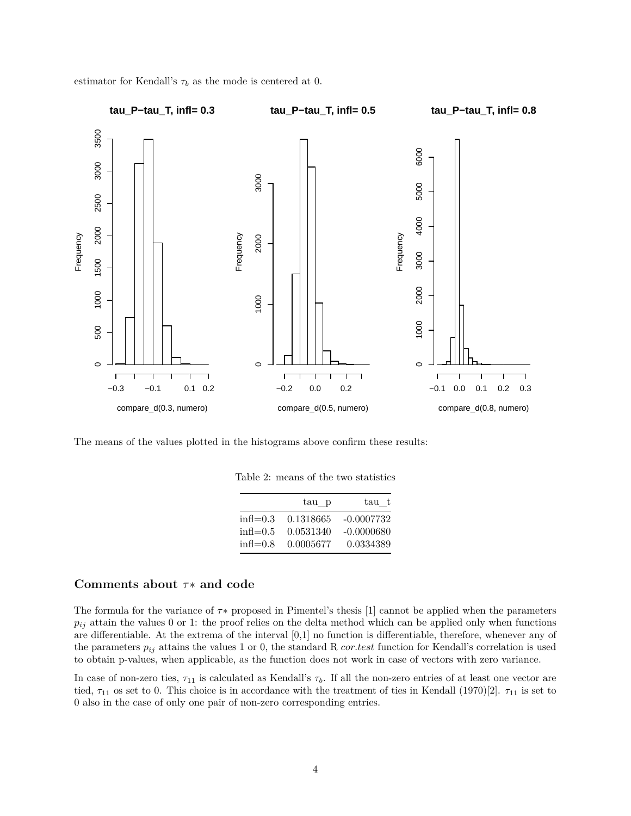

estimator for Kendall's  $\tau_b$  as the mode is centered at 0.

The means of the values plotted in the histograms above confirm these results:

Table 2: means of the two statistics

|                        | tau p     | tau t        |
|------------------------|-----------|--------------|
| $\text{infl}=0.3$      | 0.1318665 | -0.0007732   |
| $in\mathfrak{h} = 0.5$ | 0.0531340 | $-0.0000680$ |
| $in\mathfrak{h} = 0.8$ | 0.0005677 | 0.0334389    |

#### **Comments about** *τ*∗ **and code**

The formula for the variance of *τ*∗ proposed in Pimentel's thesis [1] cannot be applied when the parameters  $p_{ij}$  attain the values 0 or 1: the proof relies on the delta method which can be applied only when functions are differentiable. At the extrema of the interval [0,1] no function is differentiable, therefore, whenever any of the parameters  $p_{ij}$  attains the values 1 or 0, the standard R *cor.test* function for Kendall's correlation is used to obtain p-values, when applicable, as the function does not work in case of vectors with zero variance.

In case of non-zero ties,  $\tau_{11}$  is calculated as Kendall's  $\tau_b$ . If all the non-zero entries of at least one vector are tied, *τ*<sup>11</sup> os set to 0. This choice is in accordance with the treatment of ties in Kendall (1970)[2]. *τ*<sup>11</sup> is set to 0 also in the case of only one pair of non-zero corresponding entries.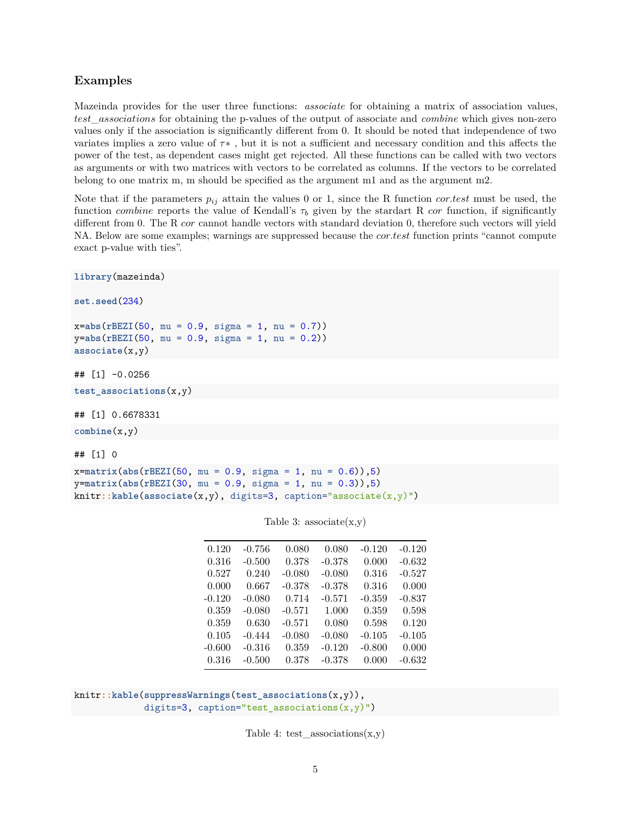## **Examples**

Mazeinda provides for the user three functions: *associate* for obtaining a matrix of association values, *test*\_*associations* for obtaining the p-values of the output of associate and *combine* which gives non-zero values only if the association is significantly different from 0. It should be noted that independence of two variates implies a zero value of *τ*∗ , but it is not a sufficient and necessary condition and this affects the power of the test, as dependent cases might get rejected. All these functions can be called with two vectors as arguments or with two matrices with vectors to be correlated as columns. If the vectors to be correlated belong to one matrix m, m should be specified as the argument m1 and as the argument m2.

Note that if the parameters *pij* attain the values 0 or 1, since the R function *cor.test* must be used, the function *combine* reports the value of Kendall's  $\tau_b$  given by the stardart R *cor* function, if significantly different from 0. The R *cor* cannot handle vectors with standard deviation 0, therefore such vectors will yield NA. Below are some examples; warnings are suppressed because the *cor.test* function prints "cannot compute exact p-value with ties".

```
library(mazeinda)
```

```
set.seed(234)
```
x=**abs**(**rBEZI**(50, mu = 0.9, sigma = 1, nu = 0.7)) y=**abs**(**rBEZI**(50, mu = 0.9, sigma = 1, nu = 0.2)) **associate**(x,y)

## [1] -0.0256

```
test_associations(x,y)
```
## [1] 0.6678331

```
combine(x,y)
```
## [1] 0

```
x=matrix(abs(rBEZI(50, mu = 0.9, sigma = 1, nu = 0.6)),5)
y=matrix(abs(rBEZI(30, mu = 0.9, sigma = 1, nu = 0.3)),5)
knitr::kable(associate(x,y), digits=3, caption="associate(x,y)")
```
0.120 -0.756 0.080 0.080 -0.120 -0.120 0.316 -0.500 0.378 -0.378 0.000 -0.632 0.527 0.240 -0.080 -0.080 0.316 -0.527 0.000 0.667 -0.378 -0.378 0.316 0.000 -0.120 -0.080 0.714 -0.571 -0.359 -0.837 0.359 -0.080 -0.571 1.000 0.359 0.598 0.359 0.630 -0.571 0.080 0.598 0.120 0.105 -0.444 -0.080 -0.080 -0.105 -0.105 -0.600 -0.316 0.359 -0.120 -0.800 0.000 0.316 -0.500 0.378 -0.378 0.000 -0.632

Table 3:  $associate(x,y)$ 

knitr**::kable**(**suppressWarnings**(**test\_associations**(x,y)), digits=3, caption="test\_associations(x,y)")

Table 4: test  $\arccos\text{as}(\text{x},\text{y})$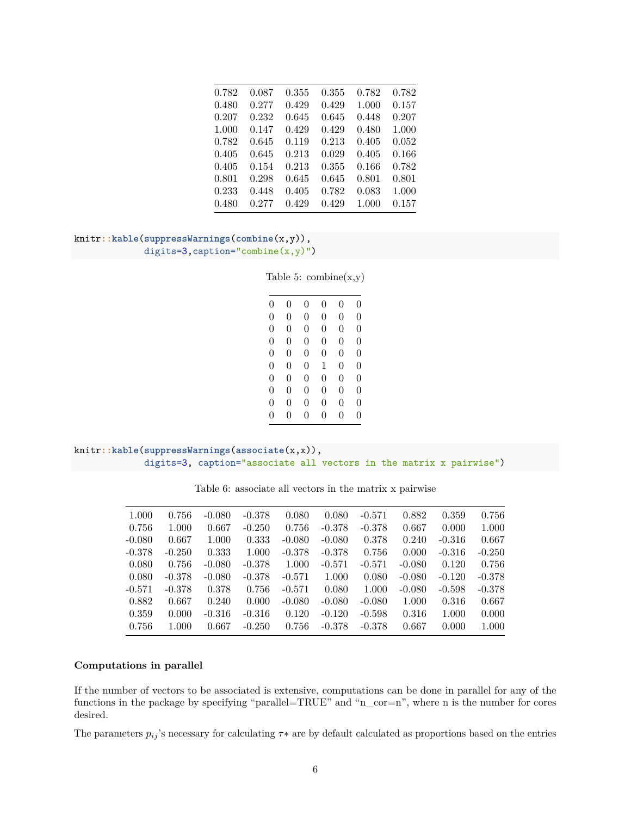| 0.782 | 0.087 | 0.355 | 0.355 | 0.782 | 0.782 |
|-------|-------|-------|-------|-------|-------|
| 0.480 | 0.277 | 0.429 | 0.429 | 1.000 | 0.157 |
| 0.207 | 0.232 | 0.645 | 0.645 | 0.448 | 0.207 |
| 1.000 | 0.147 | 0.429 | 0.429 | 0.480 | 1.000 |
| 0.782 | 0.645 | 0.119 | 0.213 | 0.405 | 0.052 |
| 0.405 | 0.645 | 0.213 | 0.029 | 0.405 | 0.166 |
| 0.405 | 0.154 | 0.213 | 0.355 | 0.166 | 0.782 |
| 0.801 | 0.298 | 0.645 | 0.645 | 0.801 | 0.801 |
| 0.233 | 0.448 | 0.405 | 0.782 | 0.083 | 1.000 |
| 0.480 | 0.277 | 0.429 | 0.429 | 1.000 | 0.157 |

```
knitr::kable(suppressWarnings(combine(x,y)),
             digits=3,caption="combine(x,y)")
```
Table 5:  $combine(x,y)$ 

| 0              | 0 | 0 | 0        | 0              | 0        |
|----------------|---|---|----------|----------------|----------|
| 0              | 0 | 0 | $\theta$ | $\overline{0}$ | 0        |
| $\theta$       | 0 | 0 | $\theta$ | $\overline{0}$ | $\Omega$ |
| 0              | 0 | 0 | $\theta$ | $\overline{0}$ | $\Omega$ |
| 0              | 0 | 0 | $\theta$ | $\overline{0}$ | $\Omega$ |
| 0              | 0 | 0 | 1        | $\overline{0}$ | $\Omega$ |
| 0              | 0 | 0 | $\theta$ | $\overline{0}$ | $\Omega$ |
| $\overline{0}$ | 0 | 0 | $\theta$ | $\overline{0}$ | $\Omega$ |
| 0              | 0 | 0 | 0        | $\overline{0}$ | 0        |
| 0              | 0 | 0 | 0        | 0              | 0        |
|                |   |   |          |                |          |

```
knitr::kable(suppressWarnings(associate(x,x)),
             digits=3, caption="associate all vectors in the matrix x pairwise")
```

| 1.000    | 0.756    | $-0.080$ | $-0.378$ | 0.080    | 0.080    | $-0.571$ | 0.882    | 0.359    | 0.756    |
|----------|----------|----------|----------|----------|----------|----------|----------|----------|----------|
| 0.756    | 1.000    | 0.667    | $-0.250$ | 0.756    | $-0.378$ | $-0.378$ | 0.667    | 0.000    | 1.000    |
| $-0.080$ | 0.667    | 1.000    | 0.333    | $-0.080$ | $-0.080$ | 0.378    | 0.240    | $-0.316$ | 0.667    |
| $-0.378$ | $-0.250$ | 0.333    | 1.000    | $-0.378$ | $-0.378$ | 0.756    | 0.000    | $-0.316$ | $-0.250$ |
| 0.080    | 0.756    | $-0.080$ | $-0.378$ | 1.000    | $-0.571$ | $-0.571$ | $-0.080$ | 0.120    | 0.756    |
| 0.080    | $-0.378$ | $-0.080$ | $-0.378$ | $-0.571$ | 1.000    | 0.080    | $-0.080$ | $-0.120$ | $-0.378$ |
| $-0.571$ | $-0.378$ | 0.378    | 0.756    | $-0.571$ | 0.080    | 1.000    | $-0.080$ | $-0.598$ | $-0.378$ |
| 0.882    | 0.667    | 0.240    | 0.000    | $-0.080$ | $-0.080$ | $-0.080$ | 1.000    | 0.316    | 0.667    |
| 0.359    | 0.000    | $-0.316$ | $-0.316$ | 0.120    | $-0.120$ | $-0.598$ | 0.316    | 1.000    | 0.000    |
| 0.756    | 1.000    | 0.667    | $-0.250$ | 0.756    | $-0.378$ | $-0.378$ | 0.667    | 0.000    | 1.000    |
|          |          |          |          |          |          |          |          |          |          |

Table 6: associate all vectors in the matrix x pairwise

#### **Computations in parallel**

If the number of vectors to be associated is extensive, computations can be done in parallel for any of the functions in the package by specifying "parallel=TRUE" and "n\_cor=n", where n is the number for cores desired.

The parameters  $p_{ij}$ 's necessary for calculating  $\tau *$  are by default calculated as proportions based on the entries